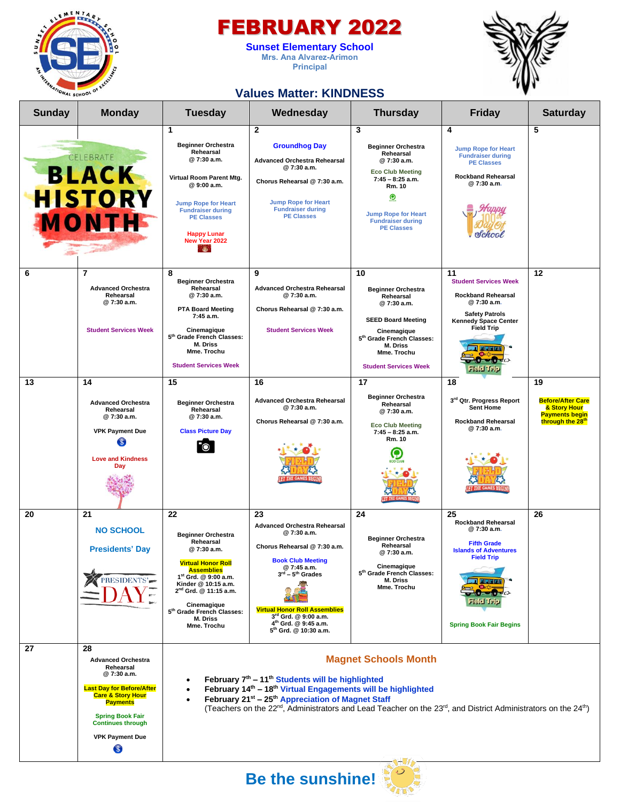

### FEBRUARY 2022

**Sunset Elementary School Mrs. Ana Alvarez-Arimon Principal**



### **Values Matter: KINDNESS**

| $\mathbf{2}$<br>3<br>5<br>1<br>4<br><b>Beginner Orchestra</b><br><b>Groundhog Day</b><br><b>Beginner Orchestra</b><br><b>Jump Rope for Heart</b><br>Rehearsal<br>Rehearsal<br>CELEBRATE<br><b>Fundraiser during</b><br>@7:30 a.m.<br><b>Advanced Orchestra Rehearsal</b><br>@7:30 a.m.<br><b>PE Classes</b><br>@7:30 a.m.<br><b>BLACK</b><br><b>Eco Club Meeting</b><br><b>Rockband Rehearsal</b><br>Virtual Room Parent Mtg.<br>$7:45 - 8:25$ a.m.<br>Chorus Rehearsal @ 7:30 a.m.<br>@7:30 a.m.<br>@ 9:00 a.m.<br>Rm. 10<br><b>HISTORY</b><br>℗<br><b>Jump Rope for Heart</b><br><b>Jump Rope for Heart</b><br><b>Fundraiser during</b><br><b>Fundraiser during</b><br><b>Jump Rope for Heart</b><br>MONTH<br><b>PE Classes</b><br><b>PE Classes</b><br><b>Fundraiser during</b><br><b>PE Classes</b><br><b>Happy Lunar</b><br>New Year 2022<br><b>AND</b><br>6<br>$\overline{7}$<br>12<br>8<br>9<br>11<br>10<br><b>Beginner Orchestra</b><br><b>Student Services Week</b><br><b>Advanced Orchestra</b><br>Rehearsal<br><b>Advanced Orchestra Rehearsal</b><br><b>Beginner Orchestra</b><br>@7:30 a.m.<br>@7:30 a.m.<br><b>Rockband Rehearsal</b><br>Rehearsal<br>Rehearsal<br>@7:30 a.m.<br>@7:30 a.m.<br>@7:30 a.m.<br>Chorus Rehearsal @ 7:30 a.m.<br><b>PTA Board Meeting</b><br><b>Safety Patrols</b><br>7:45 a.m.<br><b>SEED Board Meeting</b><br><b>Kennedy Space Center</b><br><b>Field Trip</b><br><b>Student Services Week</b><br>Cinemagique<br><b>Student Services Week</b><br>Cinemagique<br>5th Grade French Classes:<br>5 <sup>th</sup> Grade French Classes:<br><b>M. Driss</b><br>M. Driss<br><b>PROD</b><br>Mme. Trochu<br>Mme. Trochu<br>$\sqrt{0-\epsilon}$<br><b>Student Services Week</b><br><b>Student Services Week</b><br><b>Field Trip</b><br>13<br>14<br>15<br>17<br>18<br>16<br>19<br><b>Beginner Orchestra</b><br>3rd Qtr. Progress Report<br><b>Advanced Orchestra Rehearsal</b><br><b>Advanced Orchestra</b><br><b>Beginner Orchestra</b><br>Rehearsal<br>@7:30 a.m.<br><b>Sent Home</b><br>& Story Hour<br>Rehearsal<br>Rehearsal<br>@7:30 a.m.<br><b>Payments begin</b><br>@7:30 a.m.<br>@ 7:30 a.m.<br>Chorus Rehearsal @ 7:30 a.m.<br><b>Rockband Rehearsal</b><br>through the 28 <sup>th</sup><br><b>Eco Club Meeting</b><br>@7:30 a.m.<br><b>VPK Payment Due</b><br><b>Class Picture Day</b><br>$7:45 - 8:25$ a.m.<br>Rm. 10<br>$\mathbf{s}$<br>O<br><b>Love and Kindness</b><br>Day<br>21<br>25<br>20<br>22<br>23<br>24<br>26<br><b>Rockband Rehearsal</b><br><b>Advanced Orchestra Rehearsal</b><br>@ 7:30 a.m.<br><b>NO SCHOOL</b><br>@ 7:30 a.m.<br><b>Beginner Orchestra</b><br><b>Beginner Orchestra</b><br>Rehearsal<br><b>Fifth Grade</b><br>Rehearsal<br>Chorus Rehearsal @ 7:30 a.m.<br><b>Presidents' Day</b><br>@7:30 a.m.<br><b>Islands of Adventures</b><br>@7:30 a.m.<br><b>Field Trip</b><br><b>Book Club Meeting</b><br><b>Virtual Honor Roll</b><br>Cinemagique<br>@ 7:45 a.m.<br><b>Assemblies</b><br>5th Grade French Classes:<br>$3rd - 5th$ Grades<br>1 <sup>st</sup> Grd. @ 9:00 a.m.<br>RESIDENTS'<br>M. Driss<br>Kinder @ 10:15 a.m.<br>Mme. Trochu<br>2 <sup>nd</sup> Grd. @ 11:15 a.m.<br>Cinemagique<br><b>Virtual Honor Roll Assemblies</b><br>5th Grade French Classes:<br>3 <sup>rd</sup> Grd. @ 9:00 a.m.<br>M. Driss<br>4 <sup>th</sup> Grd. @ 9:45 a.m.<br><b>Spring Book Fair Begins</b><br>Mme. Trochu<br>5 <sup>th</sup> Grd. @ 10:30 a.m.<br>27<br>28<br><b>Magnet Schools Month</b><br><b>Advanced Orchestra</b><br>Rehearsal | <b>Sunday</b> | <b>Monday</b> | <b>Tuesday</b>                                                                                                                                                                                                                                             | Wednesday | <b>Thursday</b> | <b>Friday</b> | <b>Saturday</b>          |
|-------------------------------------------------------------------------------------------------------------------------------------------------------------------------------------------------------------------------------------------------------------------------------------------------------------------------------------------------------------------------------------------------------------------------------------------------------------------------------------------------------------------------------------------------------------------------------------------------------------------------------------------------------------------------------------------------------------------------------------------------------------------------------------------------------------------------------------------------------------------------------------------------------------------------------------------------------------------------------------------------------------------------------------------------------------------------------------------------------------------------------------------------------------------------------------------------------------------------------------------------------------------------------------------------------------------------------------------------------------------------------------------------------------------------------------------------------------------------------------------------------------------------------------------------------------------------------------------------------------------------------------------------------------------------------------------------------------------------------------------------------------------------------------------------------------------------------------------------------------------------------------------------------------------------------------------------------------------------------------------------------------------------------------------------------------------------------------------------------------------------------------------------------------------------------------------------------------------------------------------------------------------------------------------------------------------------------------------------------------------------------------------------------------------------------------------------------------------------------------------------------------------------------------------------------------------------------------------------------------------------------------------------------------------------------------------------------------------------------------------------------------------------------------------------------------------------------------------------------------------------------------------------------------------------------------------------------------------------------------------------------------------------------------------------------------------------------------------------------------------------------------------------------------------------------------------------------------------------------------------------------------------------------------------------------------------------------------------------------------------------------------------------------------------------------------------------------------------------------------------------------------|---------------|---------------|------------------------------------------------------------------------------------------------------------------------------------------------------------------------------------------------------------------------------------------------------------|-----------|-----------------|---------------|--------------------------|
|                                                                                                                                                                                                                                                                                                                                                                                                                                                                                                                                                                                                                                                                                                                                                                                                                                                                                                                                                                                                                                                                                                                                                                                                                                                                                                                                                                                                                                                                                                                                                                                                                                                                                                                                                                                                                                                                                                                                                                                                                                                                                                                                                                                                                                                                                                                                                                                                                                                                                                                                                                                                                                                                                                                                                                                                                                                                                                                                                                                                                                                                                                                                                                                                                                                                                                                                                                                                                                                                                                             |               |               |                                                                                                                                                                                                                                                            |           |                 |               |                          |
|                                                                                                                                                                                                                                                                                                                                                                                                                                                                                                                                                                                                                                                                                                                                                                                                                                                                                                                                                                                                                                                                                                                                                                                                                                                                                                                                                                                                                                                                                                                                                                                                                                                                                                                                                                                                                                                                                                                                                                                                                                                                                                                                                                                                                                                                                                                                                                                                                                                                                                                                                                                                                                                                                                                                                                                                                                                                                                                                                                                                                                                                                                                                                                                                                                                                                                                                                                                                                                                                                                             |               |               |                                                                                                                                                                                                                                                            |           |                 |               |                          |
|                                                                                                                                                                                                                                                                                                                                                                                                                                                                                                                                                                                                                                                                                                                                                                                                                                                                                                                                                                                                                                                                                                                                                                                                                                                                                                                                                                                                                                                                                                                                                                                                                                                                                                                                                                                                                                                                                                                                                                                                                                                                                                                                                                                                                                                                                                                                                                                                                                                                                                                                                                                                                                                                                                                                                                                                                                                                                                                                                                                                                                                                                                                                                                                                                                                                                                                                                                                                                                                                                                             |               |               |                                                                                                                                                                                                                                                            |           |                 |               | <b>Before/After Care</b> |
|                                                                                                                                                                                                                                                                                                                                                                                                                                                                                                                                                                                                                                                                                                                                                                                                                                                                                                                                                                                                                                                                                                                                                                                                                                                                                                                                                                                                                                                                                                                                                                                                                                                                                                                                                                                                                                                                                                                                                                                                                                                                                                                                                                                                                                                                                                                                                                                                                                                                                                                                                                                                                                                                                                                                                                                                                                                                                                                                                                                                                                                                                                                                                                                                                                                                                                                                                                                                                                                                                                             |               |               |                                                                                                                                                                                                                                                            |           |                 |               |                          |
| February 14 <sup>th</sup> - 18 <sup>th</sup> Virtual Engagements will be highlighted<br><b>Last Day for Before/After</b><br><b>Care &amp; Story Hour</b><br>February 21 <sup>st</sup> - 25 <sup>th</sup> Appreciation of Magnet Staff<br><b>Payments</b><br><b>Spring Book Fair</b><br><b>Continues through</b><br><b>VPK Payment Due</b><br>\$                                                                                                                                                                                                                                                                                                                                                                                                                                                                                                                                                                                                                                                                                                                                                                                                                                                                                                                                                                                                                                                                                                                                                                                                                                                                                                                                                                                                                                                                                                                                                                                                                                                                                                                                                                                                                                                                                                                                                                                                                                                                                                                                                                                                                                                                                                                                                                                                                                                                                                                                                                                                                                                                                                                                                                                                                                                                                                                                                                                                                                                                                                                                                             |               | @7:30 a.m.    | February 7 <sup>th</sup> - 11 <sup>th</sup> Students will be highlighted<br>(Teachers on the 22 <sup>nd</sup> , Administrators and Lead Teacher on the 23 <sup>rd</sup> , and District Administrators on the 24 <sup>th</sup> )<br><b>Be the sunshine!</b> |           |                 |               |                          |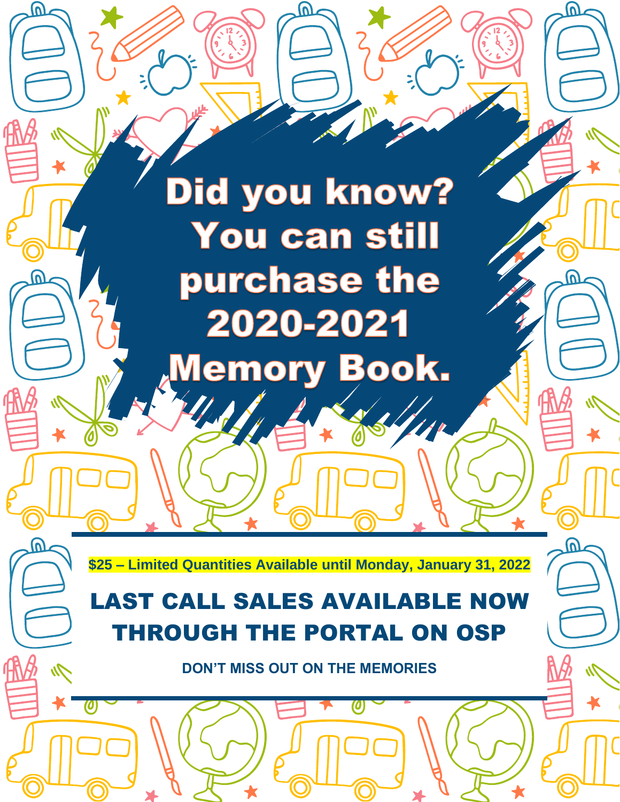# Did you know? You can still purchase the 2020-2021 **Memory Book.**

(V)

 $\Omega$ 

**\$25 – Limited Quantities Available until Monday, January 31, 2022**

## LAST CALL SALES AVAILABLE NOW THROUGH THE PORTAL ON OSP

**DON'T MISS OUT ON THE MEMORIES**